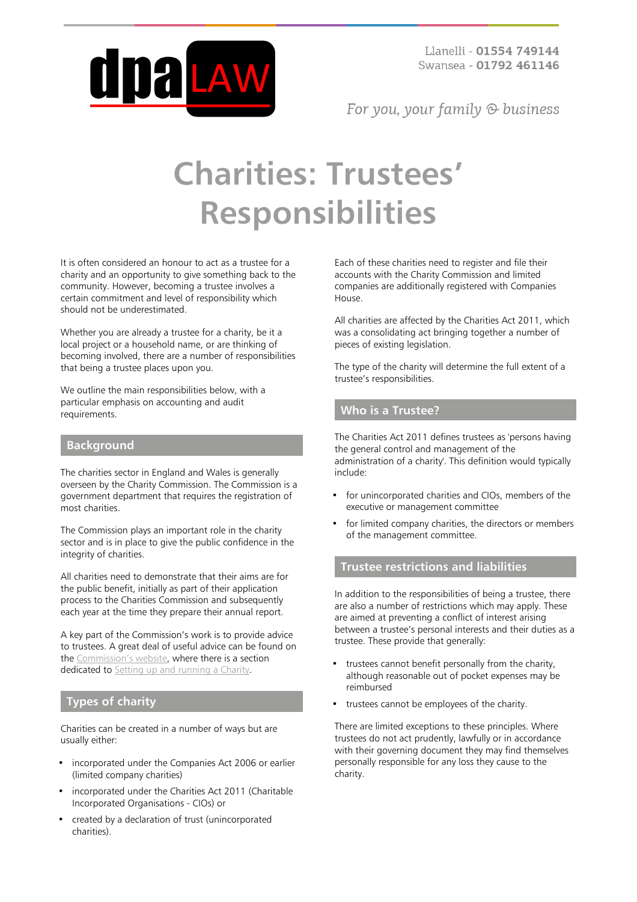

For you, your family  $\odot$  business

# **Charities: Trustees' Responsibilities**

It is often considered an honour to act as a trustee for a charity and an opportunity to give something back to the community. However, becoming a trustee involves a certain commitment and level of responsibility which should not be underestimated.

Whether you are already a trustee for a charity, be it a local project or a household name, or are thinking of becoming involved, there are a number of responsibilities that being a trustee places upon you.

We outline the main responsibilities below, with a particular emphasis on accounting and audit requirements.

#### **Background**

The charities sector in England and Wales is generally overseen by the Charity Commission. The Commission is a government department that requires the registration of most charities.

The Commission plays an important role in the charity sector and is in place to give the public confidence in the integrity of charities.

All charities need to demonstrate that their aims are for the public benefit, initially as part of their application process to the Charities Commission and subsequently each year at the time they prepare their annual report.

A key part of the Commission's work is to provide advice to trustees. A great deal of useful advice can be found on the [Commission's website](https://www.gov.uk/government/organisations/charity-commission), where there is a section dedicated to [Setting up and running a Charity.](https://www.gov.uk/running-charity)

#### **Types of charity**

Charities can be created in a number of ways but are usually either:

- incorporated under the Companies Act 2006 or earlier (limited company charities)
- incorporated under the Charities Act 2011 (Charitable Incorporated Organisations - CIOs) or
- created by a declaration of trust (unincorporated charities).

Each of these charities need to register and file their accounts with the Charity Commission and limited companies are additionally registered with Companies House.

All charities are affected by the Charities Act 2011, which was a consolidating act bringing together a number of pieces of existing legislation.

The type of the charity will determine the full extent of a trustee's responsibilities.

#### **Who is a Trustee?**

The Charities Act 2011 defines trustees as 'persons having the general control and management of the administration of a charity'. This definition would typically include:

- for unincorporated charities and CIOs, members of the executive or management committee
- for limited company charities, the directors or members of the management committee.

### **Trustee restrictions and liabilities**

In addition to the responsibilities of being a trustee, there are also a number of restrictions which may apply. These are aimed at preventing a conflict of interest arising between a trustee's personal interests and their duties as a trustee. These provide that generally:

- trustees cannot benefit personally from the charity, although reasonable out of pocket expenses may be reimbursed
- trustees cannot be employees of the charity.

There are limited exceptions to these principles. Where trustees do not act prudently, lawfully or in accordance with their governing document they may find themselves personally responsible for any loss they cause to the charity.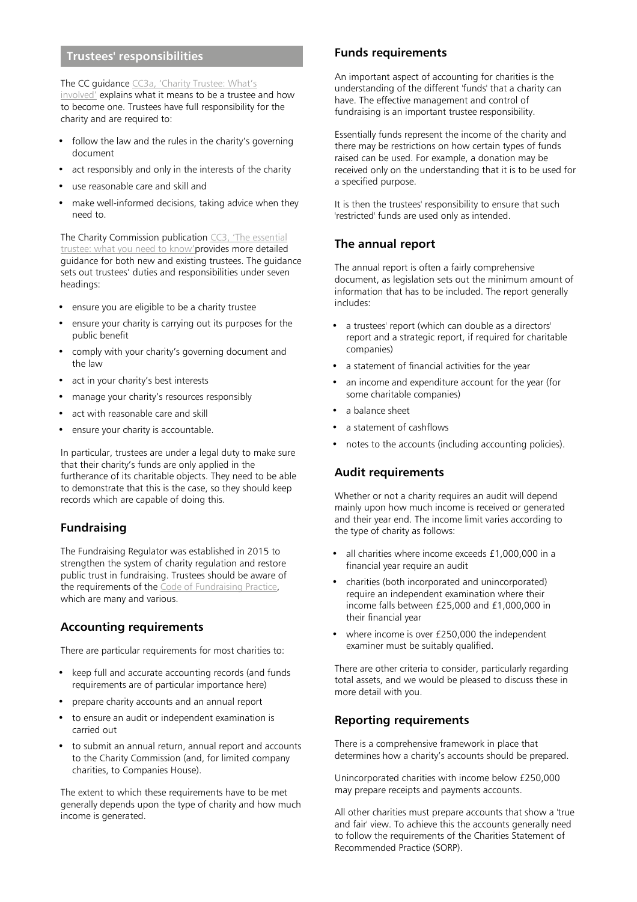## **Trustees' responsibilities**

The CC guidance [CC3a, 'Charity Trustee: What's](https://www.gov.uk/guidance/charity-trustee-whats-involved#how-to-become-a-trustee)

[involved'](https://www.gov.uk/guidance/charity-trustee-whats-involved#how-to-become-a-trustee) explains what it means to be a trustee and how to become one. Trustees have full responsibility for the charity and are required to:

- follow the law and the rules in the charity's governing document
- act responsibly and only in the interests of the charity
- use reasonable care and skill and
- make well-informed decisions, taking advice when they need to.

The Charity Commission publication [CC3, 'The essential](https://www.gov.uk/government/uploads/system/uploads/attachment_data/file/443838/CC3.pdf) [trustee: what you need to know'](https://www.gov.uk/government/uploads/system/uploads/attachment_data/file/443838/CC3.pdf)provides more detailed guidance for both new and existing trustees. The guidance sets out trustees' duties and responsibilities under seven headings:

- ensure you are eligible to be a charity trustee
- ensure your charity is carrying out its purposes for the public benefit
- comply with your charity's governing document and the law
- act in your charity's best interests
- manage your charity's resources responsibly
- act with reasonable care and skill
- ensure your charity is accountable.

In particular, trustees are under a legal duty to make sure that their charity's funds are only applied in the furtherance of its charitable objects. They need to be able to demonstrate that this is the case, so they should keep records which are capable of doing this.

#### **Fundraising**

The Fundraising Regulator was established in 2015 to strengthen the system of charity regulation and restore public trust in fundraising. Trustees should be aware of the requirements of the [Code of Fundraising Practice,](https://www.fundraisingregulator.org.uk/code-of-fundraising-practice/code-of-fundraising-practice/) which are many and various.

#### **Accounting requirements**

There are particular requirements for most charities to:

- keep full and accurate accounting records (and funds requirements are of particular importance here)
- prepare charity accounts and an annual report
- to ensure an audit or independent examination is carried out
- to submit an annual return, annual report and accounts to the Charity Commission (and, for limited company charities, to Companies House).

The extent to which these requirements have to be met generally depends upon the type of charity and how much income is generated.

#### **Funds requirements**

An important aspect of accounting for charities is the understanding of the different 'funds' that a charity can have. The effective management and control of fundraising is an important trustee responsibility.

Essentially funds represent the income of the charity and there may be restrictions on how certain types of funds raised can be used. For example, a donation may be received only on the understanding that it is to be used for a specified purpose.

It is then the trustees' responsibility to ensure that such 'restricted' funds are used only as intended.

#### **The annual report**

The annual report is often a fairly comprehensive document, as legislation sets out the minimum amount of information that has to be included. The report generally includes:

- a trustees' report (which can double as a directors' report and a strategic report, if required for charitable companies)
- a statement of financial activities for the year
- an income and expenditure account for the year (for some charitable companies)
- a balance sheet
- a statement of cashflows
- notes to the accounts (including accounting policies).

#### **Audit requirements**

Whether or not a charity requires an audit will depend mainly upon how much income is received or generated and their year end. The income limit varies according to the type of charity as follows:

- all charities where income exceeds £1,000,000 in a financial year require an audit
- charities (both incorporated and unincorporated) require an independent examination where their income falls between £25,000 and £1,000,000 in their financial year
- where income is over £250,000 the independent examiner must be suitably qualified.

There are other criteria to consider, particularly regarding total assets, and we would be pleased to discuss these in more detail with you.

#### **Reporting requirements**

There is a comprehensive framework in place that determines how a charity's accounts should be prepared.

Unincorporated charities with income below £250,000 may prepare receipts and payments accounts.

All other charities must prepare accounts that show a 'true and fair' view. To achieve this the accounts generally need to follow the requirements of the Charities Statement of Recommended Practice (SORP).